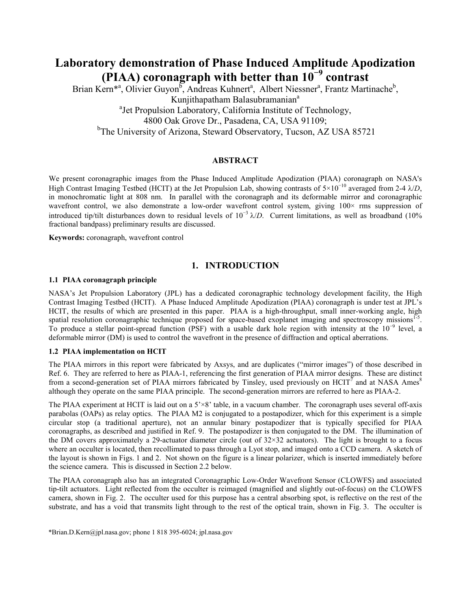# **Laboratory demonstration of Phase Induced Amplitude Apodization (PIAA) coronagraph with better than 10−9 contrast**

Brian Kern<sup>\*a</sup>, Olivier Guyon<sup>b</sup>, Andreas Kuhnert<sup>a</sup>, Albert Niessner<sup>a</sup>, Frantz Martinache<sup>b</sup>, Kunjithapatham Balasubramanian<sup>a</sup> <sup>a</sup>Jet Propulsion Laboratory, California Institute of Technology, 4800 Oak Grove Dr., Pasadena, CA, USA 91109; <sup>b</sup>The University of Arizona, Steward Observatory, Tucson, AZ USA 85721

# **ABSTRACT**

We present coronagraphic images from the Phase Induced Amplitude Apodization (PIAA) coronagraph on NASA's High Contrast Imaging Testbed (HCIT) at the Jet Propulsion Lab, showing contrasts of 5×10−10 averaged from 2-4 λ/*D*, in monochromatic light at 808 nm. In parallel with the coronagraph and its deformable mirror and coronagraphic wavefront control, we also demonstrate a low-order wavefront control system, giving  $100\times$  rms suppression of introduced tip/tilt disturbances down to residual levels of 10−3 λ/*D*. Current limitations, as well as broadband (10% fractional bandpass) preliminary results are discussed.

**Keywords:** coronagraph, wavefront control

# **1. INTRODUCTION**

## **1.1 PIAA coronagraph principle**

NASA's Jet Propulsion Laboratory (JPL) has a dedicated coronagraphic technology development facility, the High Contrast Imaging Testbed (HCIT). A Phase Induced Amplitude Apodization (PIAA) coronagraph is under test at JPL's HCIT, the results of which are presented in this paper. PIAA is a high-throughput, small inner-working angle, high spatial resolution coronagraphic technique proposed for space-based exoplanet imaging and spectroscopy missions<sup>1-5</sup>. To produce a stellar point-spread function (PSF) with a usable dark hole region with intensity at the  $10^{-9}$  level, a deformable mirror (DM) is used to control the wavefront in the presence of diffraction and optical aberrations.

# **1.2 PIAA implementation on HCIT**

The PIAA mirrors in this report were fabricated by Axsys, and are duplicates ("mirror images") of those described in Ref. 6. They are referred to here as PIAA-1, referencing the first generation of PIAA mirror designs. These are distinct from a second-generation set of PIAA mirrors fabricated by Tinsley, used previously on HCIT<sup>7</sup> and at NASA Ames<sup>8</sup> although they operate on the same PIAA principle. The second-generation mirrors are referred to here as PIAA-2.

The PIAA experiment at HCIT is laid out on a  $5^{\times}8$  table, in a vacuum chamber. The coronagraph uses several off-axis parabolas (OAPs) as relay optics. The PIAA M2 is conjugated to a postapodizer, which for this experiment is a simple circular stop (a traditional aperture), not an annular binary postapodizer that is typically specified for PIAA coronagraphs, as described and justified in Ref. 9. The postapodizer is then conjugated to the DM. The illumination of the DM covers approximately a 29-actuator diameter circle (out of 32×32 actuators). The light is brought to a focus where an occulter is located, then recollimated to pass through a Lyot stop, and imaged onto a CCD camera. A sketch of the layout is shown in Figs. 1 and 2. Not shown on the figure is a linear polarizer, which is inserted immediately before the science camera. This is discussed in Section 2.2 below.

The PIAA coronagraph also has an integrated Coronagraphic Low-Order Wavefront Sensor (CLOWFS) and associated tip-tilt actuators. Light reflected from the occulter is reimaged (magnified and slightly out-of-focus) on the CLOWFS camera, shown in Fig. 2. The occulter used for this purpose has a central absorbing spot, is reflective on the rest of the substrate, and has a void that transmits light through to the rest of the optical train, shown in Fig. 3. The occulter is

\*Brian.D.Kern@jpl.nasa.gov; phone 1 818 395-6024; jpl.nasa.gov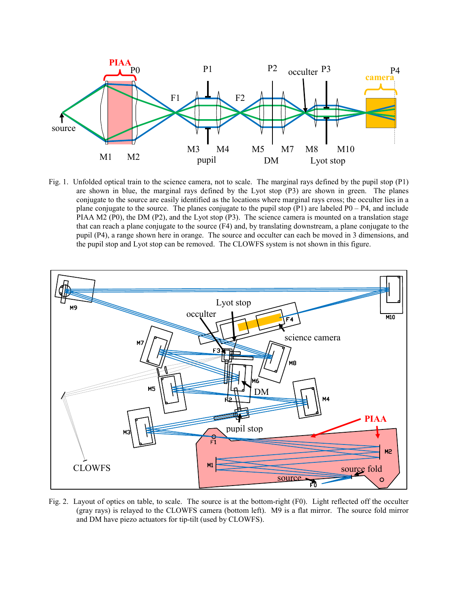

Fig. 1. Unfolded optical train to the science camera, not to scale. The marginal rays defined by the pupil stop (P1) are shown in blue, the marginal rays defined by the Lyot stop (P3) are shown in green. The planes conjugate to the source are easily identified as the locations where marginal rays cross; the occulter lies in a plane conjugate to the source. The planes conjugate to the pupil stop  $(P1)$  are labeled  $P0 - P4$ , and include PIAA M2 (P0), the DM (P2), and the Lyot stop (P3). The science camera is mounted on a translation stage that can reach a plane conjugate to the source (F4) and, by translating downstream, a plane conjugate to the pupil (P4), a range shown here in orange. The source and occulter can each be moved in 3 dimensions, and the pupil stop and Lyot stop can be removed. The CLOWFS system is not shown in this figure.



Fig. 2. Layout of optics on table, to scale. The source is at the bottom-right (F0). Light reflected off the occulter (gray rays) is relayed to the CLOWFS camera (bottom left). M9 is a flat mirror. The source fold mirror and DM have piezo actuators for tip-tilt (used by CLOWFS).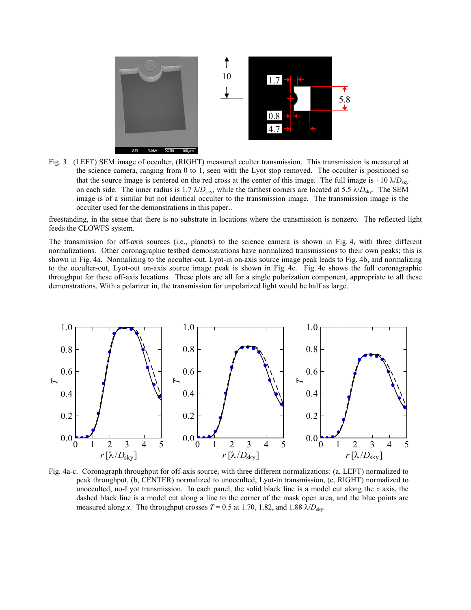

Fig. 3. (LEFT) SEM image of occulter, (RIGHT) measured cculter transmission. This transmission is measured at the science camera, ranging from 0 to 1, seen with the Lyot stop removed. The occulter is positioned so that the source image is centered on the red cross at the center of this image. The full image is  $\pm 10 \lambda/D_{\rm sky}$ on each side. The inner radius is 1.7  $\lambda/D_{sky}$ , while the farthest corners are located at 5.5  $\lambda/D_{sky}$ . The SEM image is of a similar but not identical occulter to the transmission image. The transmission image is the occulter used for the demonstrations in this paper..

freestanding, in the sense that there is no substrate in locations where the transmission is nonzero. The reflected light feeds the CLOWFS system.

The transmission for off-axis sources (i.e., planets) to the science camera is shown in Fig. 4, with three different normalizations. Other coronagraphic testbed demonstrations have normalized transmissions to their own peaks; this is shown in Fig. 4a. Normalizing to the occulter-out, Lyot-in on-axis source image peak leads to Fig. 4b, and normalizing to the occulter-out, Lyot-out on-axis source image peak is shown in Fig. 4c. Fig. 4c shows the full coronagraphic throughput for these off-axis locations. These plots are all for a single polarization component, appropriate to all these demonstrations. With a polarizer in, the transmission for unpolarized light would be half as large.



Fig. 4a-c. Coronagraph throughput for off-axis source, with three different normalizations: (a, LEFT) normalized to peak throughput, (b, CENTER) normalized to unocculted, Lyot-in transmission, (c, RIGHT) normalized to unocculted, no-Lyot transmission. In each panel, the solid black line is a model cut along the *x* axis, the dashed black line is a model cut along a line to the corner of the mask open area, and the blue points are measured along *x*. The throughput crosses  $T = 0.5$  at 1.70, 1.82, and 1.88  $\lambda/D_{\rm sky}$ .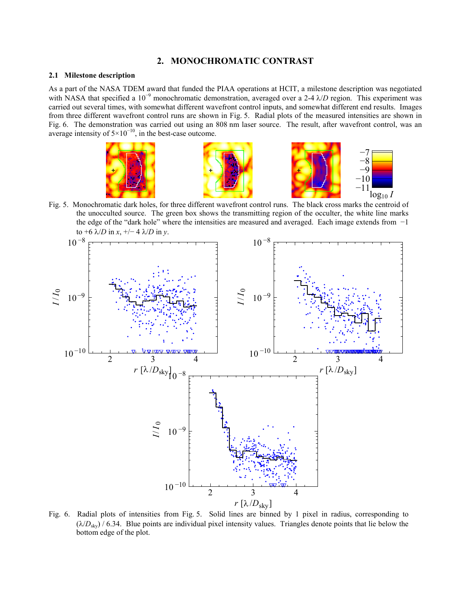# **2. MONOCHROMATIC CONTRAST**

# **2.1 Milestone description**

As a part of the NASA TDEM award that funded the PIAA operations at HCIT, a milestone description was negotiated with NASA that specified a 10<sup>-9</sup> monochromatic demonstration, averaged over a 2-4 λ/*D* region. This experiment was carried out several times, with somewhat different wavefront control inputs, and somewhat different end results. Images from three different wavefront control runs are shown in Fig. 5. Radial plots of the measured intensities are shown in Fig. 6. The demonstration was carried out using an 808 nm laser source. The result, after wavefront control, was an average intensity of  $5 \times 10^{-10}$ , in the best-case outcome.



Fig. 5. Monochromatic dark holes, for three different wavefront control runs. The black cross marks the centroid of the unocculted source. The green box shows the transmitting region of the occulter, the white line marks the edge of the "dark hole" where the intensities are measured and averaged. Each image extends from −1 to +6 λ/*D* in *x*, +/− 4 λ/*D* in *y*.



Fig. 6. Radial plots of intensities from Fig. 5. Solid lines are binned by 1 pixel in radius, corresponding to  $(\lambda/D_{\rm sky})$  / 6.34. Blue points are individual pixel intensity values. Triangles denote points that lie below the bottom edge of the plot.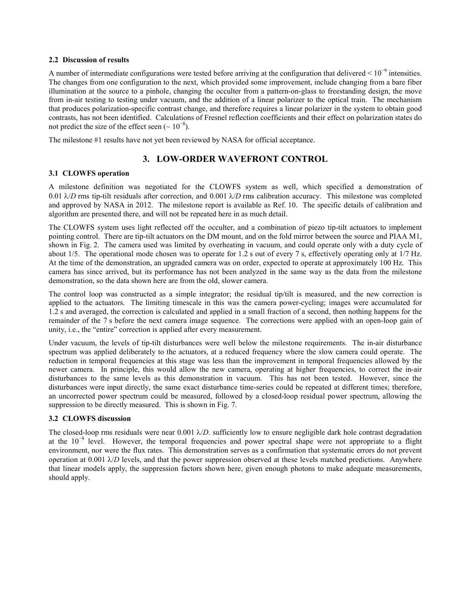## **2.2 Discussion of results**

A number of intermediate configurations were tested before arriving at the configuration that delivered  $\leq 10^{-9}$  intensities. The changes from one configuration to the next, which provided some improvement, include changing from a bare fiber illumination at the source to a pinhole, changing the occulter from a pattern-on-glass to freestanding design, the move from in-air testing to testing under vacuum, and the addition of a linear polarizer to the optical train. The mechanism that produces polarization-specific contrast change, and therefore requires a linear polarizer in the system to obtain good contrasts, has not been identified. Calculations of Fresnel reflection coefficients and their effect on polarization states do not predict the size of the effect seen ( $\sim 10^{-8}$ ).

The milestone #1 results have not yet been reviewed by NASA for official acceptance.

# **3. LOW-ORDER WAVEFRONT CONTROL**

# **3.1 CLOWFS operation**

A milestone definition was negotiated for the CLOWFS system as well, which specified a demonstration of 0.01 λ/*D* rms tip-tilt residuals after correction, and 0.001 λ/*D* rms calibration accuracy. This milestone was completed and approved by NASA in 2012. The milestone report is available as Ref. 10. The specific details of calibration and algorithm are presented there, and will not be repeated here in as much detail.

The CLOWFS system uses light reflected off the occulter, and a combination of piezo tip-tilt actuators to implement pointing control. There are tip-tilt actuators on the DM mount, and on the fold mirror between the source and PIAA M1, shown in Fig. 2. The camera used was limited by overheating in vacuum, and could operate only with a duty cycle of about 1/5. The operational mode chosen was to operate for 1.2 s out of every 7 s, effectively operating only at 1/7 Hz. At the time of the demonstration, an upgraded camera was on order, expected to operate at approximately 100 Hz. This camera has since arrived, but its performance has not been analyzed in the same way as the data from the milestone demonstration, so the data shown here are from the old, slower camera.

The control loop was constructed as a simple integrator; the residual tip/tilt is measured, and the new correction is applied to the actuators. The limiting timescale in this was the camera power-cycling; images were accumulated for 1.2 s and averaged, the correction is calculated and applied in a small fraction of a second, then nothing happens for the remainder of the 7 s before the next camera image sequence. The corrections were applied with an open-loop gain of unity, i.e., the "entire" correction is applied after every measurement.

Under vacuum, the levels of tip-tilt disturbances were well below the milestone requirements. The in-air disturbance spectrum was applied deliberately to the actuators, at a reduced frequency where the slow camera could operate. The reduction in temporal frequencies at this stage was less than the improvement in temporal frequencies allowed by the newer camera. In principle, this would allow the new camera, operating at higher frequencies, to correct the in-air disturbances to the same levels as this demonstration in vacuum. This has not been tested. However, since the disturbances were input directly, the same exact disturbance time-series could be repeated at different times; therefore, an uncorrected power spectrum could be measured, followed by a closed-loop residual power spectrum, allowing the suppression to be directly measured. This is shown in Fig. 7.

# **3.2 CLOWFS discussion**

The closed-loop rms residuals were near  $0.001 \lambda/D$ . sufficiently low to ensure negligible dark hole contrast degradation at the 10−9 level. However, the temporal frequencies and power spectral shape were not appropriate to a flight environment, nor were the flux rates. This demonstration serves as a confirmation that systematic errors do not prevent operation at 0.001  $\lambda/D$  levels, and that the power suppression observed at these levels matched predictions. Anywhere that linear models apply, the suppression factors shown here, given enough photons to make adequate measurements, should apply.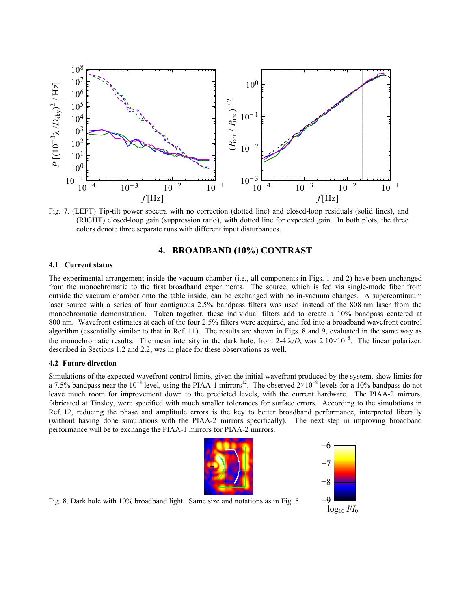

Fig. 7. (LEFT) Tip-tilt power spectra with no correction (dotted line) and closed-loop residuals (solid lines), and (RIGHT) closed-loop gain (suppression ratio), with dotted line for expected gain. In both plots, the three colors denote three separate runs with different input disturbances.

# **4. BROADBAND (10%) CONTRAST**

#### **4.1 Current status**

The experimental arrangement inside the vacuum chamber (i.e., all components in Figs. 1 and 2) have been unchanged from the monochromatic to the first broadband experiments. The source, which is fed via single-mode fiber from outside the vacuum chamber onto the table inside, can be exchanged with no in-vacuum changes. A supercontinuum laser source with a series of four contiguous 2.5% bandpass filters was used instead of the 808 nm laser from the monochromatic demonstration. Taken together, these individual filters add to create a 10% bandpass centered at 800 nm. Wavefront estimates at each of the four 2.5% filters were acquired, and fed into a broadband wavefront control algorithm (essentially similar to that in Ref. 11). The results are shown in Figs. 8 and 9, evaluated in the same way as the monochromatic results. The mean intensity in the dark hole, from 2-4  $\lambda/D$ , was 2.10×10<sup>-8</sup>. The linear polarizer, described in Sections 1.2 and 2.2, was in place for these observations as well.

#### **4.2 Future direction**

Simulations of the expected wavefront control limits, given the initial wavefront produced by the system, show limits for a 7.5% bandpass near the 10<sup>-8</sup> level, using the PIAA-1 mirrors<sup>12</sup>. The observed  $2\times10^{-8}$  levels for a 10% bandpass do not leave much room for improvement down to the predicted levels, with the current hardware. The PIAA-2 mirrors, fabricated at Tinsley, were specified with much smaller tolerances for surface errors. According to the simulations in Ref. 12, reducing the phase and amplitude errors is the key to better broadband performance, interpreted liberally (without having done simulations with the PIAA-2 mirrors specifically). The next step in improving broadband performance will be to exchange the PIAA-1 mirrors for PIAA-2 mirrors.





Fig. 8. Dark hole with 10% broadband light. Same size and notations as in Fig. 5.  $-9$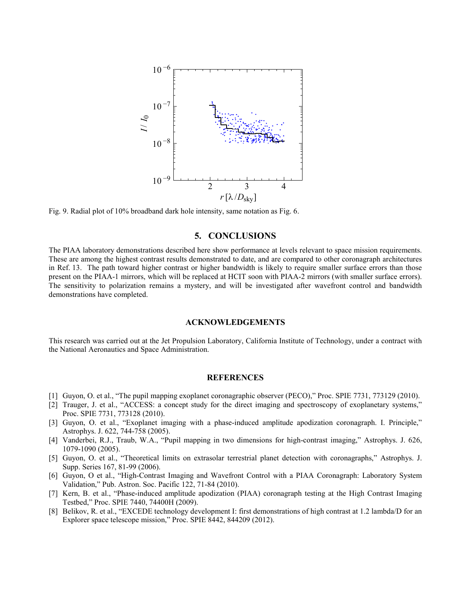

Fig. 9. Radial plot of 10% broadband dark hole intensity, same notation as Fig. 6.

## **5. CONCLUSIONS**

The PIAA laboratory demonstrations described here show performance at levels relevant to space mission requirements. These are among the highest contrast results demonstrated to date, and are compared to other coronagraph architectures in Ref. 13. The path toward higher contrast or higher bandwidth is likely to require smaller surface errors than those present on the PIAA-1 mirrors, which will be replaced at HCIT soon with PIAA-2 mirrors (with smaller surface errors). The sensitivity to polarization remains a mystery, and will be investigated after wavefront control and bandwidth demonstrations have completed.

#### **ACKNOWLEDGEMENTS**

This research was carried out at the Jet Propulsion Laboratory, California Institute of Technology, under a contract with the National Aeronautics and Space Administration.

#### **REFERENCES**

- [1] Guyon, O. et al., "The pupil mapping exoplanet coronagraphic observer (PECO)," Proc. SPIE 7731, 773129 (2010).
- [2] Trauger, J. et al., "ACCESS: a concept study for the direct imaging and spectroscopy of exoplanetary systems," Proc. SPIE 7731, 773128 (2010).
- [3] Guyon, O. et al., "Exoplanet imaging with a phase-induced amplitude apodization coronagraph. I. Principle," Astrophys. J. 622, 744-758 (2005).
- [4] Vanderbei, R.J., Traub, W.A., "Pupil mapping in two dimensions for high-contrast imaging," Astrophys. J. 626, 1079-1090 (2005).
- [5] Guyon, O. et al., "Theoretical limits on extrasolar terrestrial planet detection with coronagraphs," Astrophys. J. Supp. Series 167, 81-99 (2006).
- [6] Guyon, O et al., "High-Contrast Imaging and Wavefront Control with a PIAA Coronagraph: Laboratory System Validation," Pub. Astron. Soc. Pacific 122, 71-84 (2010).
- [7] Kern, B. et al., "Phase-induced amplitude apodization (PIAA) coronagraph testing at the High Contrast Imaging Testbed," Proc. SPIE 7440, 74400H (2009).
- [8] Belikov, R. et al., "EXCEDE technology development I: first demonstrations of high contrast at 1.2 lambda/D for an Explorer space telescope mission," Proc. SPIE 8442, 844209 (2012).